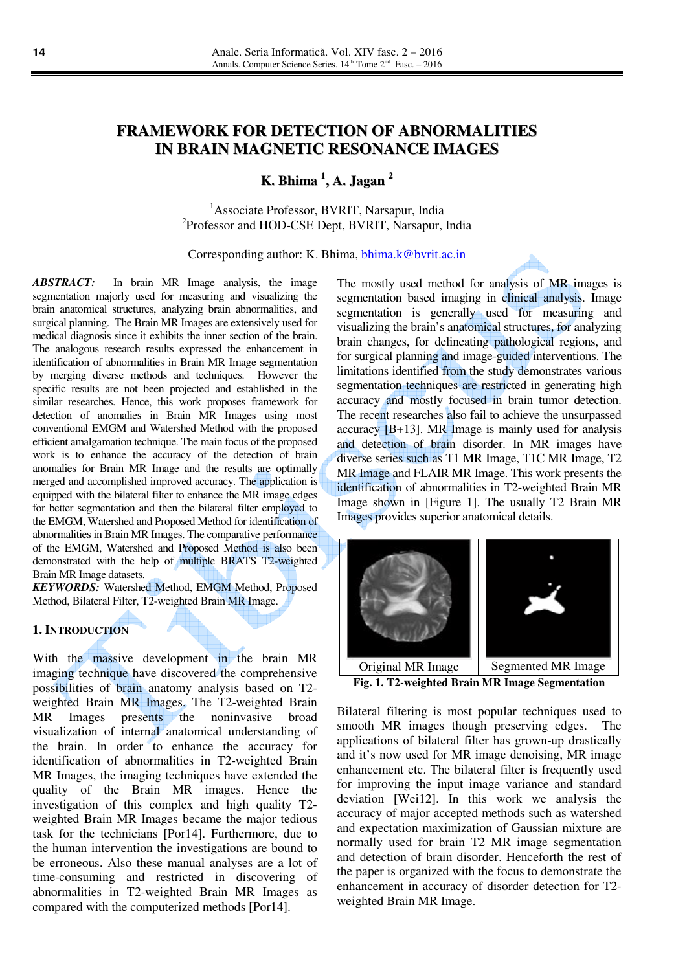# **FRAMEWORK FOR DETECTION OF ABNORMALITIES IN BRAIN MAGNETIC RESONANCE IMAGES**

**K. Bhima 1 , A. Jagan 2**

<sup>1</sup>Associate Professor, BVRIT, Narsapur, India <sup>2</sup>Professor and HOD-CSE Dept, BVRIT, Narsapur, India

Corresponding author: K. Bhima, bhima.k@bvrit.ac.in

*ABSTRACT:* In brain MR Image analysis, the image segmentation majorly used for measuring and visualizing the brain anatomical structures, analyzing brain abnormalities, and surgical planning. The Brain MR Images are extensively used for medical diagnosis since it exhibits the inner section of the brain. The analogous research results expressed the enhancement in identification of abnormalities in Brain MR Image segmentation by merging diverse methods and techniques. However the specific results are not been projected and established in the similar researches. Hence, this work proposes framework for detection of anomalies in Brain MR Images using most conventional EMGM and Watershed Method with the proposed efficient amalgamation technique. The main focus of the proposed work is to enhance the accuracy of the detection of brain anomalies for Brain MR Image and the results are optimally merged and accomplished improved accuracy. The application is equipped with the bilateral filter to enhance the MR image edges for better segmentation and then the bilateral filter employed to the EMGM, Watershed and Proposed Method for identification of abnormalities in Brain MR Images. The comparative performance of the EMGM, Watershed and Proposed Method is also been demonstrated with the help of multiple BRATS T2-weighted Brain MR Image datasets.

*KEYWORDS:* Watershed Method, EMGM Method, Proposed Method, Bilateral Filter, T2-weighted Brain MR Image.

#### **1. INTRODUCTION**

With the massive development in the brain MR imaging technique have discovered the comprehensive possibilities of brain anatomy analysis based on T2 weighted Brain MR Images. The T2-weighted Brain MR Images presents the noninvasive broad visualization of internal anatomical understanding of the brain. In order to enhance the accuracy for identification of abnormalities in T2-weighted Brain MR Images, the imaging techniques have extended the quality of the Brain MR images. Hence the investigation of this complex and high quality T2 weighted Brain MR Images became the major tedious task for the technicians [Por14]. Furthermore, due to the human intervention the investigations are bound to be erroneous. Also these manual analyses are a lot of time-consuming and restricted in discovering of abnormalities in T2-weighted Brain MR Images as compared with the computerized methods [Por14].

The mostly used method for analysis of MR images is segmentation based imaging in clinical analysis. Image segmentation is generally used for measuring and visualizing the brain's anatomical structures, for analyzing brain changes, for delineating pathological regions, and for surgical planning and image-guided interventions. The limitations identified from the study demonstrates various segmentation techniques are restricted in generating high accuracy and mostly focused in brain tumor detection. The recent researches also fail to achieve the unsurpassed accuracy [B+13]. MR Image is mainly used for analysis and detection of brain disorder. In MR images have diverse series such as T1 MR Image, T1C MR Image, T2 MR Image and FLAIR MR Image. This work presents the identification of abnormalities in T2-weighted Brain MR Image shown in [Figure 1]. The usually T2 Brain MR Images provides superior anatomical details.



**Fig. 1. T2-weighted Brain MR Image Segmentation**

Bilateral filtering is most popular techniques used to smooth MR images though preserving edges. The applications of bilateral filter has grown-up drastically and it's now used for MR image denoising, MR image enhancement etc. The bilateral filter is frequently used for improving the input image variance and standard deviation [Wei12]. In this work we analysis the accuracy of major accepted methods such as watershed and expectation maximization of Gaussian mixture are normally used for brain T2 MR image segmentation and detection of brain disorder. Henceforth the rest of the paper is organized with the focus to demonstrate the enhancement in accuracy of disorder detection for T2 weighted Brain MR Image.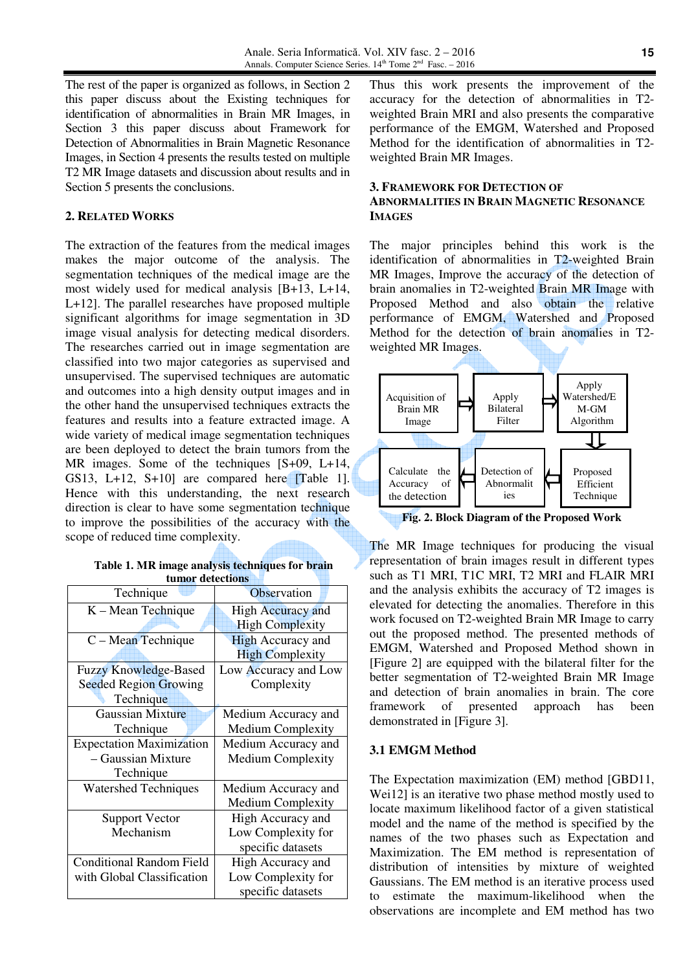The rest of the paper is organized as follows, in Section 2 this paper discuss about the Existing techniques for identification of abnormalities in Brain MR Images, in Section 3 this paper discuss about Framework for Detection of Abnormalities in Brain Magnetic Resonance Images, in Section 4 presents the results tested on multiple T2 MR Image datasets and discussion about results and in Section 5 presents the conclusions.

### **2. RELATED WORKS**

The extraction of the features from the medical images makes the major outcome of the analysis. The segmentation techniques of the medical image are the most widely used for medical analysis [B+13, L+14, L+12]. The parallel researches have proposed multiple significant algorithms for image segmentation in 3D image visual analysis for detecting medical disorders. The researches carried out in image segmentation are classified into two major categories as supervised and unsupervised. The supervised techniques are automatic and outcomes into a high density output images and in the other hand the unsupervised techniques extracts the features and results into a feature extracted image. A wide variety of medical image segmentation techniques are been deployed to detect the brain tumors from the MR images. Some of the techniques [S+09, L+14, GS13, L+12, S+10] are compared here [Table 1]. Hence with this understanding, the next research direction is clear to have some segmentation technique to improve the possibilities of the accuracy with the scope of reduced time complexity.

## **Table 1. MR image analysis techniques for brain tumor detections**

| Technique                       | Observation              |  |
|---------------------------------|--------------------------|--|
| K – Mean Technique              | <b>High Accuracy and</b> |  |
|                                 | <b>High Complexity</b>   |  |
| $C - Mean$ Technique            | <b>High Accuracy and</b> |  |
|                                 | <b>High Complexity</b>   |  |
| <b>Fuzzy Knowledge-Based</b>    | Low Accuracy and Low     |  |
| <b>Seeded Region Growing</b>    | Complexity               |  |
| Technique                       |                          |  |
| <b>Gaussian Mixture</b>         | Medium Accuracy and      |  |
| Technique                       | <b>Medium Complexity</b> |  |
| <b>Expectation Maximization</b> | Medium Accuracy and      |  |
| - Gaussian Mixture              | <b>Medium Complexity</b> |  |
| Technique                       |                          |  |
| <b>Watershed Techniques</b>     | Medium Accuracy and      |  |
|                                 | <b>Medium Complexity</b> |  |
| <b>Support Vector</b>           | High Accuracy and        |  |
| Mechanism                       | Low Complexity for       |  |
|                                 | specific datasets        |  |
| <b>Conditional Random Field</b> | High Accuracy and        |  |
| with Global Classification      | Low Complexity for       |  |
|                                 | specific datasets        |  |

Thus this work presents the improvement of the accuracy for the detection of abnormalities in T2 weighted Brain MRI and also presents the comparative performance of the EMGM, Watershed and Proposed Method for the identification of abnormalities in T2 weighted Brain MR Images.

#### **3. FRAMEWORK FOR DETECTION OF**

### **ABNORMALITIES IN BRAIN MAGNETIC RESONANCE IMAGES**

The major principles behind this work is the identification of abnormalities in T2-weighted Brain MR Images, Improve the accuracy of the detection of brain anomalies in T2-weighted Brain MR Image with Proposed Method and also obtain the relative performance of EMGM, Watershed and Proposed Method for the detection of brain anomalies in T2 weighted MR Images.



**Fig. 2. Block Diagram of the Proposed Work**

The MR Image techniques for producing the visual representation of brain images result in different types such as T1 MRI, T1C MRI, T2 MRI and FLAIR MRI and the analysis exhibits the accuracy of T2 images is elevated for detecting the anomalies. Therefore in this work focused on T2-weighted Brain MR Image to carry out the proposed method. The presented methods of EMGM, Watershed and Proposed Method shown in [Figure 2] are equipped with the bilateral filter for the better segmentation of T2-weighted Brain MR Image and detection of brain anomalies in brain. The core framework of presented approach has been demonstrated in [Figure 3].

#### **3.1 EMGM Method**

The Expectation maximization (EM) method [GBD11, Wei12] is an iterative two phase method mostly used to locate maximum likelihood factor of a given statistical model and the name of the method is specified by the names of the two phases such as Expectation and Maximization. The EM method is representation of distribution of intensities by mixture of weighted Gaussians. The EM method is an iterative process used to estimate the maximum-likelihood when the observations are incomplete and EM method has two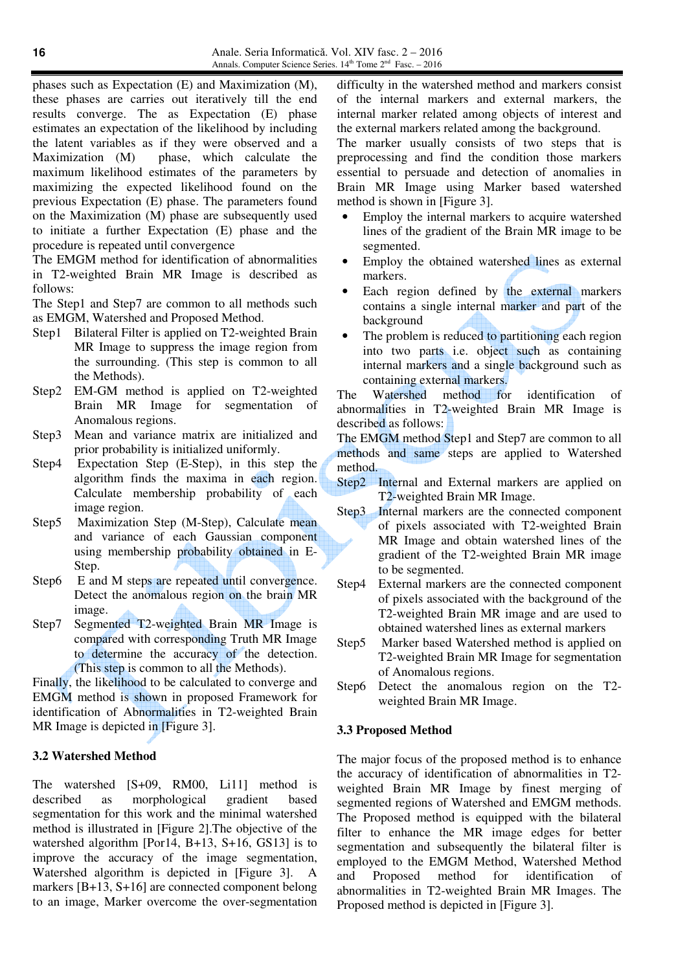phases such as Expectation (E) and Maximization (M), these phases are carries out iteratively till the end results converge. The as Expectation (E) phase estimates an expectation of the likelihood by including the latent variables as if they were observed and a Maximization (M) phase, which calculate the maximum likelihood estimates of the parameters by maximizing the expected likelihood found on the previous Expectation (E) phase. The parameters found on the Maximization (M) phase are subsequently used to initiate a further Expectation (E) phase and the procedure is repeated until convergence

The EMGM method for identification of abnormalities in T2-weighted Brain MR Image is described as follows:

The Step1 and Step7 are common to all methods such as EMGM, Watershed and Proposed Method.

- Step1 Bilateral Filter is applied on T2-weighted Brain MR Image to suppress the image region from the surrounding. (This step is common to all the Methods).
- Step2 EM-GM method is applied on T2-weighted Brain MR Image for segmentation of Anomalous regions.
- Step3 Mean and variance matrix are initialized and prior probability is initialized uniformly.
- Step4 Expectation Step (E-Step), in this step the algorithm finds the maxima in each region. Calculate membership probability of each image region.
- Step5 Maximization Step (M-Step), Calculate mean and variance of each Gaussian component using membership probability obtained in E-Step.
- Step6 E and M steps are repeated until convergence. Detect the anomalous region on the brain MR image.
- Step7 Segmented T2-weighted Brain MR Image is compared with corresponding Truth MR Image to determine the accuracy of the detection. (This step is common to all the Methods).

Finally, the likelihood to be calculated to converge and EMGM method is shown in proposed Framework for identification of Abnormalities in T2-weighted Brain MR Image is depicted in [Figure 3].

#### **3.2 Watershed Method**

The watershed [S+09, RM00, Li11] method is described as morphological gradient based segmentation for this work and the minimal watershed method is illustrated in [Figure 2].The objective of the watershed algorithm [Por14, B+13, S+16, GS13] is to improve the accuracy of the image segmentation, Watershed algorithm is depicted in [Figure 3]. A markers [B+13, S+16] are connected component belong to an image, Marker overcome the over-segmentation

difficulty in the watershed method and markers consist of the internal markers and external markers, the internal marker related among objects of interest and the external markers related among the background.

The marker usually consists of two steps that is preprocessing and find the condition those markers essential to persuade and detection of anomalies in Brain MR Image using Marker based watershed method is shown in [Figure 3].

- Employ the internal markers to acquire watershed lines of the gradient of the Brain MR image to be segmented.
- Employ the obtained watershed lines as external markers.
- Each region defined by the external markers contains a single internal marker and part of the background
- The problem is reduced to partitioning each region into two parts i.e. object such as containing internal markers and a single background such as containing external markers.

The Watershed method for identification of abnormalities in T2-weighted Brain MR Image is described as follows:

The EMGM method Step1 and Step7 are common to all methods and same steps are applied to Watershed method.

- Step2 Internal and External markers are applied on T2-weighted Brain MR Image.
- Step3 Internal markers are the connected component of pixels associated with T2-weighted Brain MR Image and obtain watershed lines of the gradient of the T2-weighted Brain MR image to be segmented.
- Step4 External markers are the connected component of pixels associated with the background of the T2-weighted Brain MR image and are used to obtained watershed lines as external markers
- Step5 Marker based Watershed method is applied on T2-weighted Brain MR Image for segmentation of Anomalous regions.
- Step6 Detect the anomalous region on the T2 weighted Brain MR Image.

#### **3.3 Proposed Method**

The major focus of the proposed method is to enhance the accuracy of identification of abnormalities in T2 weighted Brain MR Image by finest merging of segmented regions of Watershed and EMGM methods. The Proposed method is equipped with the bilateral filter to enhance the MR image edges for better segmentation and subsequently the bilateral filter is employed to the EMGM Method, Watershed Method and Proposed method for identification of abnormalities in T2-weighted Brain MR Images. The Proposed method is depicted in [Figure 3].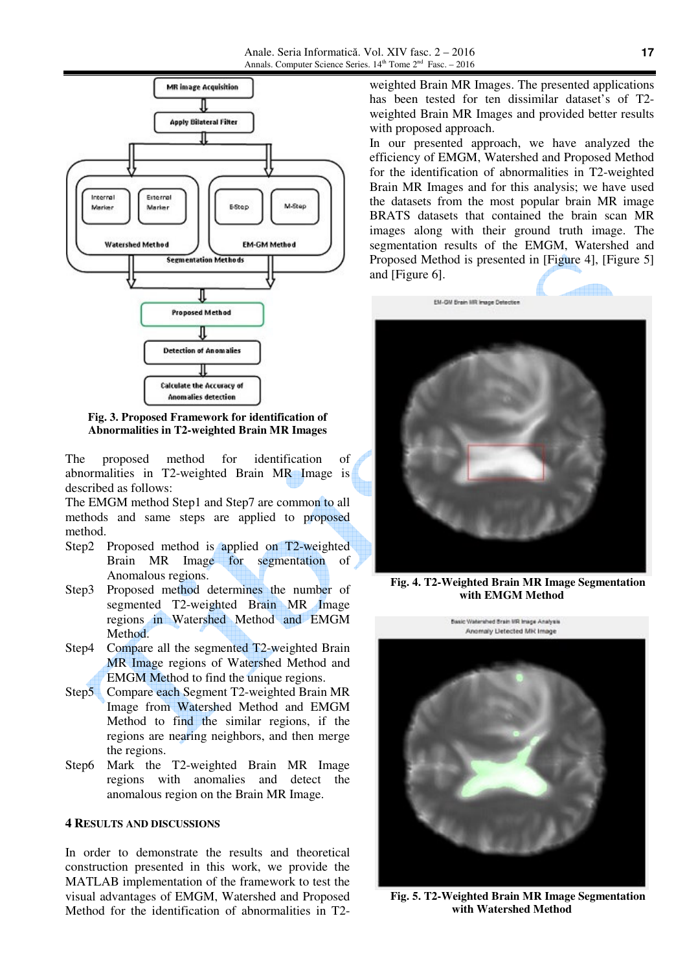

**Fig. 3. Proposed Framework for identification of Abnormalities in T2-weighted Brain MR Images** 

The proposed method for identification of abnormalities in T2-weighted Brain MR Image is described as follows:

The EMGM method Step1 and Step7 are common to all methods and same steps are applied to proposed method.

- Step2 Proposed method is applied on T2-weighted Brain MR Image for segmentation of Anomalous regions.
- Step3 Proposed method determines the number of segmented T2-weighted Brain MR Image regions in Watershed Method and EMGM Method.
- Step4 Compare all the segmented T2-weighted Brain MR Image regions of Watershed Method and EMGM Method to find the unique regions.
- Step5 Compare each Segment T2-weighted Brain MR Image from Watershed Method and EMGM Method to find the similar regions, if the regions are nearing neighbors, and then merge the regions.
- Step6 Mark the T2-weighted Brain MR Image regions with anomalies and detect the anomalous region on the Brain MR Image.

### **4 RESULTS AND DISCUSSIONS**

In order to demonstrate the results and theoretical construction presented in this work, we provide the MATLAB implementation of the framework to test the visual advantages of EMGM, Watershed and Proposed Method for the identification of abnormalities in T2weighted Brain MR Images. The presented applications has been tested for ten dissimilar dataset's of T2 weighted Brain MR Images and provided better results with proposed approach.

In our presented approach, we have analyzed the efficiency of EMGM, Watershed and Proposed Method for the identification of abnormalities in T2-weighted Brain MR Images and for this analysis; we have used the datasets from the most popular brain MR image BRATS datasets that contained the brain scan MR images along with their ground truth image. The segmentation results of the EMGM, Watershed and Proposed Method is presented in [Figure 4], [Figure 5] and [Figure 6].



**Fig. 4. T2-Weighted Brain MR Image Segmentation with EMGM Method**



**Fig. 5. T2-Weighted Brain MR Image Segmentation with Watershed Method**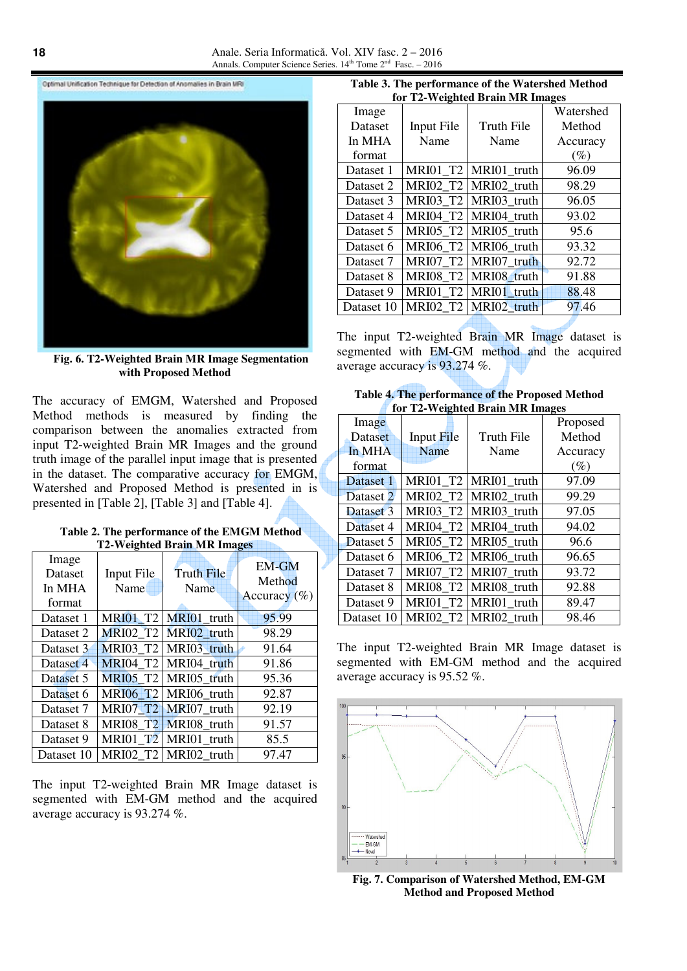Optimal Unification Technique for Detection of Anomalies in Brain MRI



**Fig. 6. T2-Weighted Brain MR Image Segmentation with Proposed Method** 

The accuracy of EMGM, Watershed and Proposed Method methods is measured by finding the comparison between the anomalies extracted from input T2-weighted Brain MR Images and the ground truth image of the parallel input image that is presented in the dataset. The comparative accuracy for EMGM, Watershed and Proposed Method is presented in is presented in [Table 2], [Table 3] and [Table 4].

| Table 2. The performance of the EMGM Method |  |
|---------------------------------------------|--|
| <b>T2-Weighted Brain MR Images</b>          |  |

| Image<br><b>Dataset</b><br>In MHA<br>format | Input File<br>Name | <b>Truth File</b><br>Name | <b>EM-GM</b><br>Method<br>Accuracy $(\% )$ |
|---------------------------------------------|--------------------|---------------------------|--------------------------------------------|
| Dataset 1                                   | <b>MRI01 T2</b>    | MRI01 truth               | 95.99                                      |
| Dataset 2                                   |                    | MRI02 T2 MRI02 truth      | 98.29                                      |
| Dataset 3                                   |                    | MRI03 T2 MRI03 truth      | 91.64                                      |
| Dataset 4                                   |                    | MRI04 T2 MRI04 truth      | 91.86                                      |
| Dataset 5                                   |                    | MRI05 T2 MRI05 truth      | 95.36                                      |
| Dataset 6                                   |                    | MRI06 T2 MRI06 truth      | 92.87                                      |
| Dataset 7                                   |                    | MRI07 T2 MRI07 truth      | 92.19                                      |
| Dataset 8                                   |                    | MRI08 T2 MRI08 truth      | 91.57                                      |
| Dataset 9                                   |                    | MRI01 $T2$ MRI01 truth    | 85.5                                       |
| Dataset 10                                  |                    | MRI02 T2 MRI02 truth      | 97.47                                      |

The input T2-weighted Brain MR Image dataset is segmented with EM-GM method and the acquired average accuracy is 93.274 %.

| Table 3. The performance of the Watershed Method |
|--------------------------------------------------|
| for T2-Weighted Brain MR Images                  |

| for 12 weighted brain win mages |                 |             |           |
|---------------------------------|-----------------|-------------|-----------|
| Image                           |                 |             | Watershed |
| <b>Dataset</b>                  | Input File      | Truth File  | Method    |
| In MHA                          | Name            | Name        | Accuracy  |
| format                          |                 |             | $(\%)$    |
| Dataset 1                       | <b>MRI01_T2</b> | MRI01_truth | 96.09     |
| Dataset 2                       | <b>MRI02 T2</b> | MRI02 truth | 98.29     |
| Dataset 3                       | <b>MRI03 T2</b> | MRI03_truth | 96.05     |
| Dataset 4                       | <b>MRI04 T2</b> | MRI04 truth | 93.02     |
| Dataset 5                       | <b>MRI05 T2</b> | MRI05_truth | 95.6      |
| Dataset 6                       | <b>MRI06_T2</b> | MRI06_truth | 93.32     |
| Dataset 7                       | <b>MRI07_T2</b> | MRI07 truth | 92.72     |
| Dataset 8                       | <b>MRI08 T2</b> | MRI08_truth | 91.88     |
| Dataset 9                       | <b>MRI01 T2</b> | MRI01 truth | 88.48     |
| Dataset 10                      | <b>MRI02 T2</b> | MRI02 truth | 97.46     |
|                                 |                 |             |           |

The input T2-weighted Brain MR Image dataset is segmented with EM-GM method and the acquired average accuracy is 93.274 %.

| Table 4. The performance of the Proposed Method |  |
|-------------------------------------------------|--|
| for T2-Weighted Brain MR Images                 |  |

| Image      |                   |                            | Proposed |
|------------|-------------------|----------------------------|----------|
| Dataset    | <b>Input File</b> | Truth File                 | Method   |
| In MHA     | Name              | Name                       | Accuracy |
| format     |                   |                            | $(\%)$   |
| Dataset 1  | <b>MRI01 T2</b>   | MRI01_truth                | 97.09    |
| Dataset 2  |                   | MRI02 T2 MRI02 truth       | 99.29    |
| Dataset 3  |                   | MRI03 $T2$ MRI03 truth     | 97.05    |
| Dataset 4  | <b>MRI04 T2</b>   | MRI04 truth                | 94.02    |
| Dataset 5  | <b>MRI05_T2</b>   | MRI05 truth                | 96.6     |
| Dataset 6  | <b>MRI06 T2</b>   | MRI06 truth                | 96.65    |
| Dataset 7  | <b>MRI07_T2</b>   | MRI07_truth                | 93.72    |
| Dataset 8  | <b>MRI08_T2</b>   | MRI08_truth                | 92.88    |
| Dataset 9  |                   | $MRI01_T2$ $MRI01_t$ truth | 89.47    |
| Dataset 10 |                   | MRI02 T2 MRI02 truth       | 98.46    |

The input T2-weighted Brain MR Image dataset is segmented with EM-GM method and the acquired average accuracy is 95.52 %.



**Fig. 7. Comparison of Watershed Method, EM-GM Method and Proposed Method**